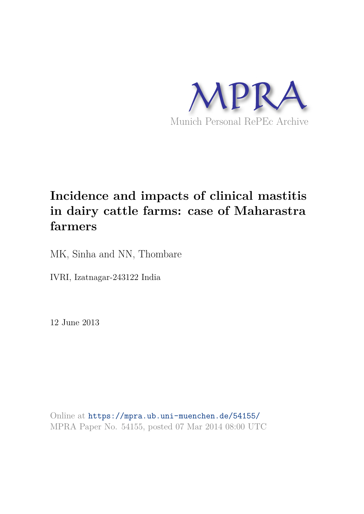

# **Incidence and impacts of clinical mastitis in dairy cattle farms: case of Maharastra farmers**

MK, Sinha and NN, Thombare

IVRI, Izatnagar-243122 India

12 June 2013

Online at https://mpra.ub.uni-muenchen.de/54155/ MPRA Paper No. 54155, posted 07 Mar 2014 08:00 UTC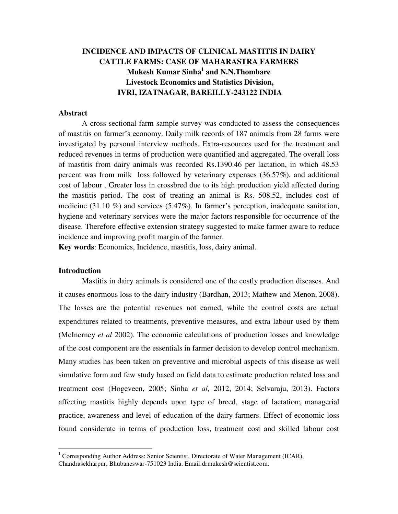# **INCIDENCE AND IMPACTS OF CLINICAL MASTITIS IN DAIRY CATTLE FARMS: CASE OF MAHARASTRA FARMERS Mukesh Kumar Sinha<sup>1</sup> and N.N.Thombare Livestock Economics and Statistics Division, IVRI, IZATNAGAR, BAREILLY-243122 INDIA**

## **Abstract**

A cross sectional farm sample survey was conducted to assess the consequences of mastitis on farmer's economy. Daily milk records of 187 animals from 28 farms were investigated by personal interview methods. Extra-resources used for the treatment and reduced revenues in terms of production were quantified and aggregated. The overall loss of mastitis from dairy animals was recorded Rs.1390.46 per lactation, in which 48.53 percent was from milk loss followed by veterinary expenses (36.57%), and additional cost of labour . Greater loss in crossbred due to its high production yield affected during the mastitis period. The cost of treating an animal is Rs. 508.52, includes cost of medicine (31.10 %) and services (5.47%). In farmer's perception, inadequate sanitation, hygiene and veterinary services were the major factors responsible for occurrence of the disease. Therefore effective extension strategy suggested to make farmer aware to reduce incidence and improving profit margin of the farmer.

**Key words**: Economics, Incidence, mastitis, loss, dairy animal.

#### **Introduction**

 Mastitis in dairy animals is considered one of the costly production diseases. And it causes enormous loss to the dairy industry (Bardhan, 2013; Mathew and Menon, 2008). The losses are the potential revenues not earned, while the control costs are actual expenditures related to treatments, preventive measures, and extra labour used by them (McInerney *et al* 2002). The economic calculations of production losses and knowledge of the cost component are the essentials in farmer decision to develop control mechanism. Many studies has been taken on preventive and microbial aspects of this disease as well simulative form and few study based on field data to estimate production related loss and treatment cost (Hogeveen, 2005; Sinha *et al,* 2012, 2014; Selvaraju, 2013). Factors affecting mastitis highly depends upon type of breed, stage of lactation; managerial practice, awareness and level of education of the dairy farmers. Effect of economic loss found considerate in terms of production loss, treatment cost and skilled labour cost

<sup>&</sup>lt;sup>1</sup> Corresponding Author Address: Senior Scientist, Directorate of Water Management (ICAR), Chandrasekharpur, Bhubaneswar-751023 India. Email[:drmukesh@scientist.com.](mailto:drmukesh@scientist.com)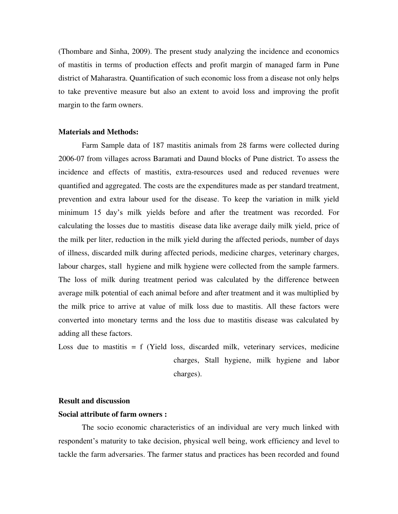(Thombare and Sinha, 2009). The present study analyzing the incidence and economics of mastitis in terms of production effects and profit margin of managed farm in Pune district of Maharastra. Quantification of such economic loss from a disease not only helps to take preventive measure but also an extent to avoid loss and improving the profit margin to the farm owners.

#### **Materials and Methods:**

Farm Sample data of 187 mastitis animals from 28 farms were collected during 2006-07 from villages across Baramati and Daund blocks of Pune district. To assess the incidence and effects of mastitis, extra-resources used and reduced revenues were quantified and aggregated. The costs are the expenditures made as per standard treatment, prevention and extra labour used for the disease. To keep the variation in milk yield minimum 15 day's milk yields before and after the treatment was recorded. For calculating the losses due to mastitis disease data like average daily milk yield, price of the milk per liter, reduction in the milk yield during the affected periods, number of days of illness, discarded milk during affected periods, medicine charges, veterinary charges, labour charges, stall hygiene and milk hygiene were collected from the sample farmers. The loss of milk during treatment period was calculated by the difference between average milk potential of each animal before and after treatment and it was multiplied by the milk price to arrive at value of milk loss due to mastitis. All these factors were converted into monetary terms and the loss due to mastitis disease was calculated by adding all these factors.

Loss due to mastitis  $= f$  (Yield loss, discarded milk, veterinary services, medicine charges, Stall hygiene, milk hygiene and labor charges).

## **Result and discussion**

# **Social attribute of farm owners :**

The socio economic characteristics of an individual are very much linked with respondent's maturity to take decision, physical well being, work efficiency and level to tackle the farm adversaries. The farmer status and practices has been recorded and found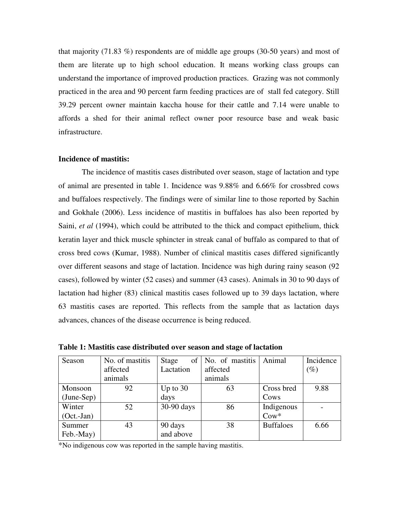that majority (71.83 %) respondents are of middle age groups (30-50 years) and most of them are literate up to high school education. It means working class groups can understand the importance of improved production practices. Grazing was not commonly practiced in the area and 90 percent farm feeding practices are of stall fed category. Still 39.29 percent owner maintain kaccha house for their cattle and 7.14 were unable to affords a shed for their animal reflect owner poor resource base and weak basic infrastructure.

## **Incidence of mastitis:**

The incidence of mastitis cases distributed over season, stage of lactation and type of animal are presented in table 1. Incidence was 9.88% and 6.66% for crossbred cows and buffaloes respectively. The findings were of similar line to those reported by Sachin and Gokhale (2006). Less incidence of mastitis in buffaloes has also been reported by Saini, *et al* (1994), which could be attributed to the thick and compact epithelium, thick keratin layer and thick muscle sphincter in streak canal of buffalo as compared to that of cross bred cows (Kumar, 1988). Number of clinical mastitis cases differed significantly over different seasons and stage of lactation. Incidence was high during rainy season (92 cases), followed by winter (52 cases) and summer (43 cases). Animals in 30 to 90 days of lactation had higher (83) clinical mastitis cases followed up to 39 days lactation, where 63 mastitis cases are reported. This reflects from the sample that as lactation days advances, chances of the disease occurrence is being reduced.

| Season       | No. of mastitis | of<br>Stage | No. of mastitis | Animal           | Incidence |
|--------------|-----------------|-------------|-----------------|------------------|-----------|
|              | affected        | Lactation   | affected        |                  | $(\%)$    |
|              | animals         |             | animals         |                  |           |
| Monsoon      | 92              | Up to $30$  | 63              | Cross bred       | 9.88      |
| $(June-Sep)$ |                 | days        |                 | Cows             |           |
| Winter       | 52              | 30-90 days  | 86              | Indigenous       |           |
| $(Oct.-Jan)$ |                 |             |                 | $\text{Cow*}$    |           |
| Summer       | 43              | 90 days     | 38              | <b>Buffaloes</b> | 6.66      |
| Feb.-May)    |                 | and above   |                 |                  |           |

**Table 1: Mastitis case distributed over season and stage of lactation** 

\*No indigenous cow was reported in the sample having mastitis.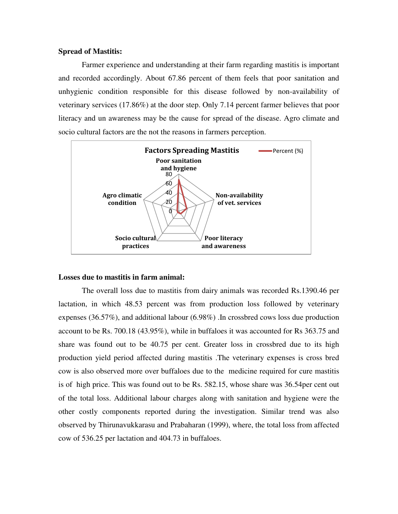#### **Spread of Mastitis:**

Farmer experience and understanding at their farm regarding mastitis is important and recorded accordingly. About 67.86 percent of them feels that poor sanitation and unhygienic condition responsible for this disease followed by non-availability of veterinary services (17.86%) at the door step. Only 7.14 percent farmer believes that poor literacy and un awareness may be the cause for spread of the disease. Agro climate and socio cultural factors are the not the reasons in farmers perception.



#### **Losses due to mastitis in farm animal:**

The overall loss due to mastitis from dairy animals was recorded Rs.1390.46 per lactation, in which 48.53 percent was from production loss followed by veterinary expenses (36.57%), and additional labour (6.98%) .In crossbred cows loss due production account to be Rs. 700.18 (43.95%), while in buffaloes it was accounted for Rs 363.75 and share was found out to be 40.75 per cent. Greater loss in crossbred due to its high production yield period affected during mastitis .The veterinary expenses is cross bred cow is also observed more over buffaloes due to the medicine required for cure mastitis is of high price. This was found out to be Rs. 582.15, whose share was 36.54per cent out of the total loss. Additional labour charges along with sanitation and hygiene were the other costly components reported during the investigation. Similar trend was also observed by Thirunavukkarasu and Prabaharan (1999), where, the total loss from affected cow of 536.25 per lactation and 404.73 in buffaloes.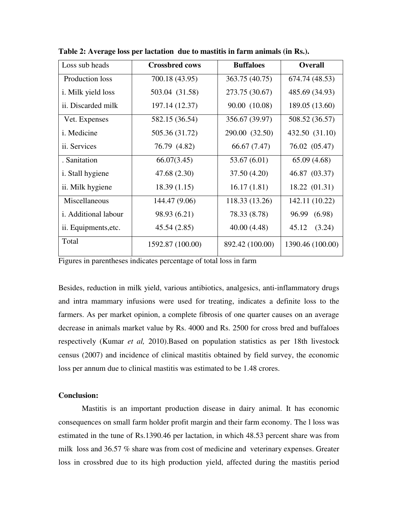| Loss sub heads             | <b>Crossbred cows</b> | <b>Buffaloes</b> | <b>Overall</b>   |
|----------------------------|-----------------------|------------------|------------------|
| <b>Production loss</b>     | 700.18 (43.95)        | 363.75 (40.75)   | 674.74 (48.53)   |
| <i>i</i> . Milk yield loss | 503.04 (31.58)        | 273.75 (30.67)   | 485.69 (34.93)   |
| ii. Discarded milk         | 197.14 (12.37)        | 90.00 (10.08)    | 189.05 (13.60)   |
| Vet. Expenses              | 582.15 (36.54)        | 356.67 (39.97)   | 508.52 (36.57)   |
| i. Medicine                | 505.36 (31.72)        | 290.00 (32.50)   | 432.50 (31.10)   |
| ii. Services               | 76.79 (4.82)          | 66.67 (7.47)     | 76.02 (05.47)    |
| . Sanitation               | 66.07(3.45)           | 53.67 (6.01)     | 65.09(4.68)      |
| <i>i</i> . Stall hygiene   | 47.68 (2.30)          | 37.50 (4.20)     | 46.87 (03.37)    |
| ii. Milk hygiene           | 18.39(1.15)           | 16.17(1.81)      | 18.22 (01.31)    |
| Miscellaneous              | 144.47 (9.06)         | 118.33 (13.26)   | 142.11 (10.22)   |
| i. Additional labour       | 98.93 (6.21)          | 78.33 (8.78)     | 96.99 (6.98)     |
| ii. Equipments, etc.       | 45.54(2.85)           | 40.00 (4.48)     | 45.12<br>(3.24)  |
| Total                      | 1592.87 (100.00)      | 892.42 (100.00)  | 1390.46 (100.00) |

**Table 2: Average loss per lactation due to mastitis in farm animals (in Rs.).** 

Figures in parentheses indicates percentage of total loss in farm

Besides, reduction in milk yield, various antibiotics, analgesics, anti-inflammatory drugs and intra mammary infusions were used for treating, indicates a definite loss to the farmers. As per market opinion, a complete fibrosis of one quarter causes on an average decrease in animals market value by Rs. 4000 and Rs. 2500 for cross bred and buffaloes respectively (Kumar *et al,* 2010).Based on population statistics as per 18th livestock census (2007) and incidence of clinical mastitis obtained by field survey, the economic loss per annum due to clinical mastitis was estimated to be 1.48 crores.

# **Conclusion:**

Mastitis is an important production disease in dairy animal. It has economic consequences on small farm holder profit margin and their farm economy. The l loss was estimated in the tune of Rs.1390.46 per lactation, in which 48.53 percent share was from milk loss and 36.57 % share was from cost of medicine and veterinary expenses. Greater loss in crossbred due to its high production yield, affected during the mastitis period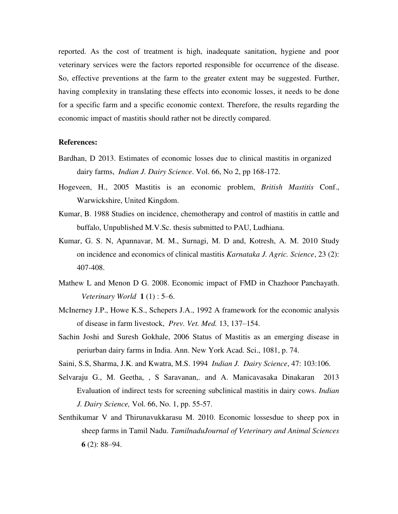reported. As the cost of treatment is high, inadequate sanitation, hygiene and poor veterinary services were the factors reported responsible for occurrence of the disease. So, effective preventions at the farm to the greater extent may be suggested. Further, having complexity in translating these effects into economic losses, it needs to be done for a specific farm and a specific economic context. Therefore, the results regarding the economic impact of mastitis should rather not be directly compared.

## **References:**

- Bardhan, D 2013. Estimates of economic losses due to clinical mastitis in organized dairy farms, *Indian J. Dairy Science*. Vol. 66, No 2, pp 168-172.
- Hogeveen, H., 2005 Mastitis is an economic problem, *British Mastitis* Conf., Warwickshire, United Kingdom.
- Kumar, B. 1988 Studies on incidence, chemotherapy and control of mastitis in cattle and buffalo, Unpublished M.V.Sc. thesis submitted to PAU, Ludhiana.
- Kumar, G. S. N, Apannavar, M. M., Surnagi, M. D and, Kotresh, A. M. 2010 Study on incidence and economics of clinical mastitis *Karnataka J. Agric. Science*, 23 (2): 407-408.
- Mathew L and Menon D G. 2008. Economic impact of FMD in Chazhoor Panchayath. *Veterinary World* **1** (1) : 5–6.
- McInerney J.P., Howe K.S., Schepers J.A., 1992 A framework for the economic analysis of disease in farm livestock, *Prev. Vet. Med.* 13, 137–154.
- Sachin Joshi and Suresh Gokhale, 2006 Status of Mastitis as an emerging disease in periurban dairy farms in India. Ann. New York Acad. Sci., 1081, p. 74.
- Saini, S.S, Sharma, J.K. and Kwatra, M.S. 1994 *Indian J. Dairy Science*, 47: 103:106.
- Selvaraju G., M. Geetha, , S Saravanan,. and A. Manicavasaka Dinakaran 2013 Evaluation of indirect tests for screening subclinical mastitis in dairy cows. *Indian J. Dairy Science,* Vol. 66, No. 1, pp. 55-57.
- Senthikumar V and Thirunavukkarasu M. 2010. Economic lossesdue to sheep pox in sheep farms in Tamil Nadu. *TamilnaduJournal of Veterinary and Animal Sciences*  **6** (2): 88–94.